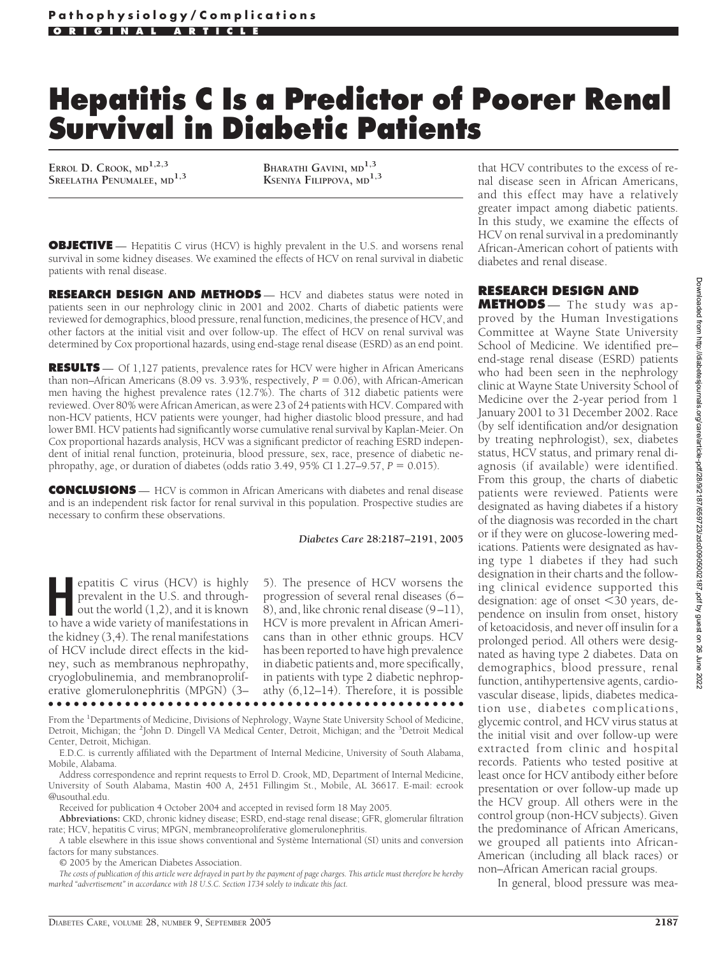## **Hepatitis C Is a Predictor of Poorer Renal Survival in Diabetic Patients**

**ERROL D. CROOK, MD1,2,3 SREELATHA PENUMALEE, MD1,3** **BHARATHI GAVINI, MD1,3 KSENIYA FILIPPOVA, MD1,3**

**OBJECTIVE** — Hepatitis C virus (HCV) is highly prevalent in the U.S. and worsens renal survival in some kidney diseases. We examined the effects of HCV on renal survival in diabetic patients with renal disease.

**RESEARCH DESIGN AND METHODS** — HCV and diabetes status were noted in patients seen in our nephrology clinic in 2001 and 2002. Charts of diabetic patients were reviewed for demographics, blood pressure, renal function, medicines, the presence of HCV, and other factors at the initial visit and over follow-up. The effect of HCV on renal survival was determined by Cox proportional hazards, using end-stage renal disease (ESRD) as an end point.

**RESULTS** — Of 1,127 patients, prevalence rates for HCV were higher in African Americans than non–African Americans (8.09 vs. 3.93%, respectively,  $P = 0.06$ ), with African-American men having the highest prevalence rates (12.7%). The charts of 312 diabetic patients were reviewed. Over 80% were African American, as were 23 of 24 patients with HCV. Compared with non-HCV patients, HCV patients were younger, had higher diastolic blood pressure, and had lower BMI. HCV patients had significantly worse cumulative renal survival by Kaplan-Meier. On Cox proportional hazards analysis, HCV was a significant predictor of reaching ESRD independent of initial renal function, proteinuria, blood pressure, sex, race, presence of diabetic nephropathy, age, or duration of diabetes (odds ratio 3.49, 95% CI 1.27–9.57,  $P = 0.015$ ).

**CONCLUSIONS** — HCV is common in African Americans with diabetes and renal disease and is an independent risk factor for renal survival in this population. Prospective studies are necessary to confirm these observations.

*Diabetes Care* **28:2187–2191, 2005**

**Example 18 Separation** C virus (HCV) is highly prevalent in the U.S. and throughout the world (1,2), and it is known to have a wide variety of manifestations in prevalent in the U.S. and throughout the world (1,2), and it is known to have a wide variety of manifestations in the kidney (3,4). The renal manifestations of HCV include direct effects in the kidney, such as membranous nephropathy, cryoglobulinemia, and membranoproliferative glomerulonephritis (MPGN) (3– ●●●●●●●●●●●●●●●●●●●●●●●●●●●●●●●●●●●●●●●●●●●●●●●●●

5). The presence of HCV worsens the progression of several renal diseases (6– 8), and, like chronic renal disease (9–11), HCV is more prevalent in African Americans than in other ethnic groups. HCV has been reported to have high prevalence in diabetic patients and, more specifically, in patients with type 2 diabetic nephropathy (6,12–14). Therefore, it is possible

From the <sup>1</sup>Departments of Medicine, Divisions of Nephrology, Wayne State University School of Medicine, Detroit, Michigan; the <sup>2</sup>John D. Dingell VA Medical Center, Detroit, Michigan; and the <sup>3</sup>Detroit Medical Center, Detroit, Michigan.

E.D.C. is currently affiliated with the Department of Internal Medicine, University of South Alabama, Mobile, Alabama.

Address correspondence and reprint requests to Errol D. Crook, MD, Department of Internal Medicine, University of South Alabama, Mastin 400 A, 2451 Fillingim St., Mobile, AL 36617. E-mail: ecrook @usouthal.edu.

Received for publication 4 October 2004 and accepted in revised form 18 May 2005.

**Abbreviations:** CKD, chronic kidney disease; ESRD, end-stage renal disease; GFR, glomerular filtration rate; HCV, hepatitis C virus; MPGN, membraneoproliferative glomerulonephritis.

A table elsewhere in this issue shows conventional and Système International (SI) units and conversion factors for many substances.

© 2005 by the American Diabetes Association.

*The costs of publication of this article were defrayed in part by the payment of page charges. This article must therefore be hereby marked "advertisement" in accordance with 18 U.S.C. Section 1734 solely to indicate this fact.*

that HCV contributes to the excess of renal disease seen in African Americans, and this effect may have a relatively greater impact among diabetic patients. In this study, we examine the effects of HCV on renal survival in a predominantly African-American cohort of patients with diabetes and renal disease.

## **RESEARCH DESIGN AND**

**METHODS** — The study was approved by the Human Investigations Committee at Wayne State University School of Medicine. We identified pre– end-stage renal disease (ESRD) patients who had been seen in the nephrology clinic at Wayne State University School of Medicine over the 2-year period from 1 January 2001 to 31 December 2002. Race (by self identification and/or designation by treating nephrologist), sex, diabetes status, HCV status, and primary renal diagnosis (if available) were identified. From this group, the charts of diabetic patients were reviewed. Patients were designated as having diabetes if a history of the diagnosis was recorded in the chart or if they were on glucose-lowering medications. Patients were designated as having type 1 diabetes if they had such designation in their charts and the following clinical evidence supported this designation: age of onset <30 years, dependence on insulin from onset, history of ketoacidosis, and never off insulin for a prolonged period. All others were designated as having type 2 diabetes. Data on demographics, blood pressure, renal function, antihypertensive agents, cardiovascular disease, lipids, diabetes medication use, diabetes complications, glycemic control, and HCV virus status at the initial visit and over follow-up were extracted from clinic and hospital records. Patients who tested positive at least once for HCV antibody either before presentation or over follow-up made up the HCV group. All others were in the control group (non-HCV subjects). Given the predominance of African Americans, we grouped all patients into African-American (including all black races) or non–African American racial groups.

Downloaded from http://diabetesjournals.org/care/article-pdf/28/9/2187/659723/zdc00905002187.pdf by guest on 26 June 2022 Downloaded from http://diabetesjournals.org/care/article-pdf/28/9/2187/659723/zdc00905002187.pdf by guest on 26 June 2022

In general, blood pressure was mea-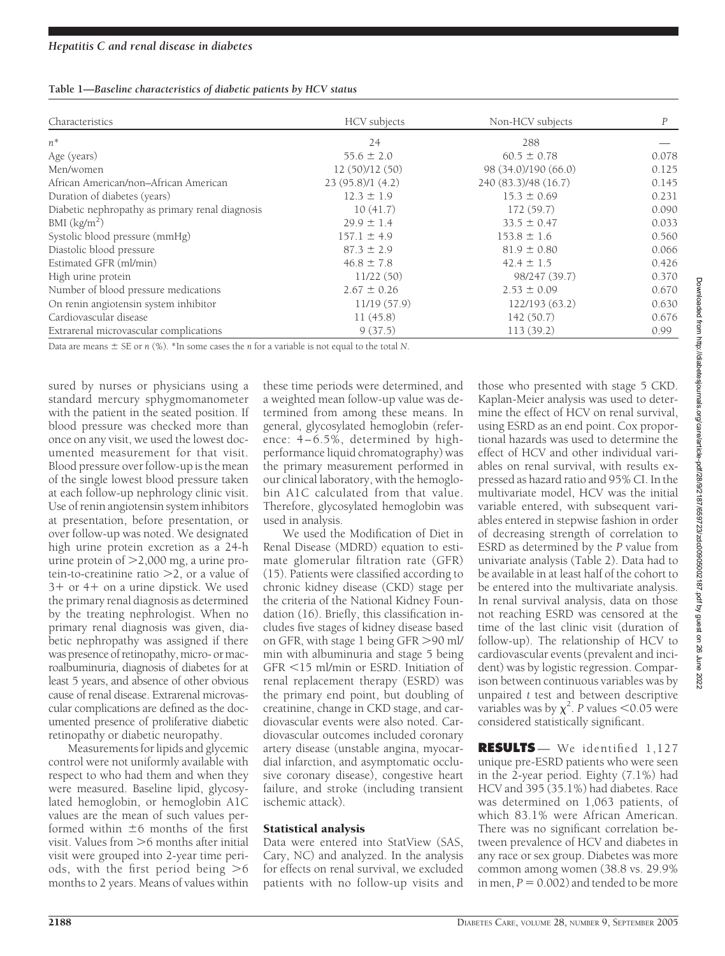| Table 1-Baseline characteristics of diabetic patients by HCV status |  |  |
|---------------------------------------------------------------------|--|--|
|                                                                     |  |  |

| Characteristics                                                                                    | HCV subjects    | Non-HCV subjects     | $\boldsymbol{P}$ |
|----------------------------------------------------------------------------------------------------|-----------------|----------------------|------------------|
| $n^*$                                                                                              | 24              | 288                  |                  |
| Age (years)                                                                                        | $55.6 \pm 2.0$  | $60.5 \pm 0.78$      | 0.078            |
| Men/women                                                                                          | 12(50)/12(50)   | 98 (34.0)/190 (66.0) | 0.125            |
| African American/non-African American                                                              | 23(95.8)/1(4.2) | 240 (83.3)/48 (16.7) | 0.145            |
| Duration of diabetes (years)                                                                       | $12.3 \pm 1.9$  | $15.3 \pm 0.69$      | 0.231            |
| Diabetic nephropathy as primary renal diagnosis                                                    | 10(41.7)        | 172(59.7)            | 0.090            |
| BMI (kg/m <sup>2</sup> )                                                                           | $29.9 \pm 1.4$  | $33.5 \pm 0.47$      | 0.033            |
| Systolic blood pressure (mmHg)                                                                     | $157.1 \pm 4.9$ | $153.8 \pm 1.6$      | 0.560            |
| Diastolic blood pressure                                                                           | $87.3 \pm 2.9$  | $81.9 \pm 0.80$      | 0.066            |
| Estimated GFR (ml/min)                                                                             | $46.8 \pm 7.8$  | $42.4 \pm 1.5$       | 0.426            |
| High urine protein                                                                                 | 11/22(50)       | 98/247 (39.7)        | 0.370            |
| Number of blood pressure medications                                                               | $2.67 \pm 0.26$ | $2.53 \pm 0.09$      | 0.670            |
| On renin angiotensin system inhibitor                                                              | 11/19(57.9)     | 122/193 (63.2)       | 0.630            |
| Cardiovascular disease                                                                             | 11(45.8)        | 142(50.7)            | 0.676            |
| Extrarenal microvascular complications                                                             | 9(37.5)         | 113(39.2)            | 0.99             |
| Data are means $\pm$ SE or n (%). *In some cases the n for a variable is not equal to the total N. |                 |                      |                  |

sured by nurses or physicians using a standard mercury sphygmomanometer with the patient in the seated position. If blood pressure was checked more than once on any visit, we used the lowest documented measurement for that visit. Blood pressure over follow-up is the mean of the single lowest blood pressure taken at each follow-up nephrology clinic visit. Use of renin angiotensin system inhibitors at presentation, before presentation, or over follow-up was noted. We designated high urine protein excretion as a 24-h urine protein of  $>2,000$  mg, a urine protein-to-creatinine ratio  $>2$ , or a value of  $3+$  or  $4+$  on a urine dipstick. We used the primary renal diagnosis as determined by the treating nephrologist. When no primary renal diagnosis was given, diabetic nephropathy was assigned if there was presence of retinopathy, micro- or macroalbuminuria, diagnosis of diabetes for at least 5 years, and absence of other obvious cause of renal disease. Extrarenal microvascular complications are defined as the documented presence of proliferative diabetic retinopathy or diabetic neuropathy.

Measurements for lipids and glycemic control were not uniformly available with respect to who had them and when they were measured. Baseline lipid, glycosylated hemoglobin, or hemoglobin A1C values are the mean of such values performed within  $\pm 6$  months of the first visit. Values from  $>$  6 months after initial visit were grouped into 2-year time periods, with the first period being  $>6$ months to 2 years. Means of values within

these time periods were determined, and a weighted mean follow-up value was determined from among these means. In general, glycosylated hemoglobin (reference: 4–6.5%, determined by highperformance liquid chromatography) was the primary measurement performed in our clinical laboratory, with the hemoglobin A1C calculated from that value. Therefore, glycosylated hemoglobin was used in analysis.

We used the Modification of Diet in Renal Disease (MDRD) equation to estimate glomerular filtration rate (GFR) (15). Patients were classified according to chronic kidney disease (CKD) stage per the criteria of the National Kidney Foundation (16). Briefly, this classification includes five stages of kidney disease based on GFR, with stage 1 being GFR 90 ml/ min with albuminuria and stage 5 being GFR -15 ml/min or ESRD. Initiation of renal replacement therapy (ESRD) was the primary end point, but doubling of creatinine, change in CKD stage, and cardiovascular events were also noted. Cardiovascular outcomes included coronary artery disease (unstable angina, myocardial infarction, and asymptomatic occlusive coronary disease), congestive heart failure, and stroke (including transient ischemic attack).

## Statistical analysis

Data were entered into StatView (SAS, Cary, NC) and analyzed. In the analysis for effects on renal survival, we excluded patients with no follow-up visits and

those who presented with stage 5 CKD. Kaplan-Meier analysis was used to determine the effect of HCV on renal survival, using ESRD as an end point. Cox proportional hazards was used to determine the effect of HCV and other individual variables on renal survival, with results expressed as hazard ratio and 95% CI. In the multivariate model, HCV was the initial variable entered, with subsequent variables entered in stepwise fashion in order of decreasing strength of correlation to ESRD as determined by the *P* value from univariate analysis (Table 2). Data had to be available in at least half of the cohort to be entered into the multivariate analysis. In renal survival analysis, data on those not reaching ESRD was censored at the time of the last clinic visit (duration of follow-up). The relationship of HCV to cardiovascular events (prevalent and incident) was by logistic regression. Comparison between continuous variables was by unpaired *t* test and between descriptive variables was by  $\chi^2$ . *P* values  $<$  0.05 were considered statistically significant.

**RESULTS** — We identified 1,127 unique pre-ESRD patients who were seen in the 2-year period. Eighty (7.1%) had HCV and 395 (35.1%) had diabetes. Race was determined on 1,063 patients, of which 83.1% were African American. There was no significant correlation between prevalence of HCV and diabetes in any race or sex group. Diabetes was more common among women (38.8 vs. 29.9% in men,  $P = 0.002$ ) and tended to be more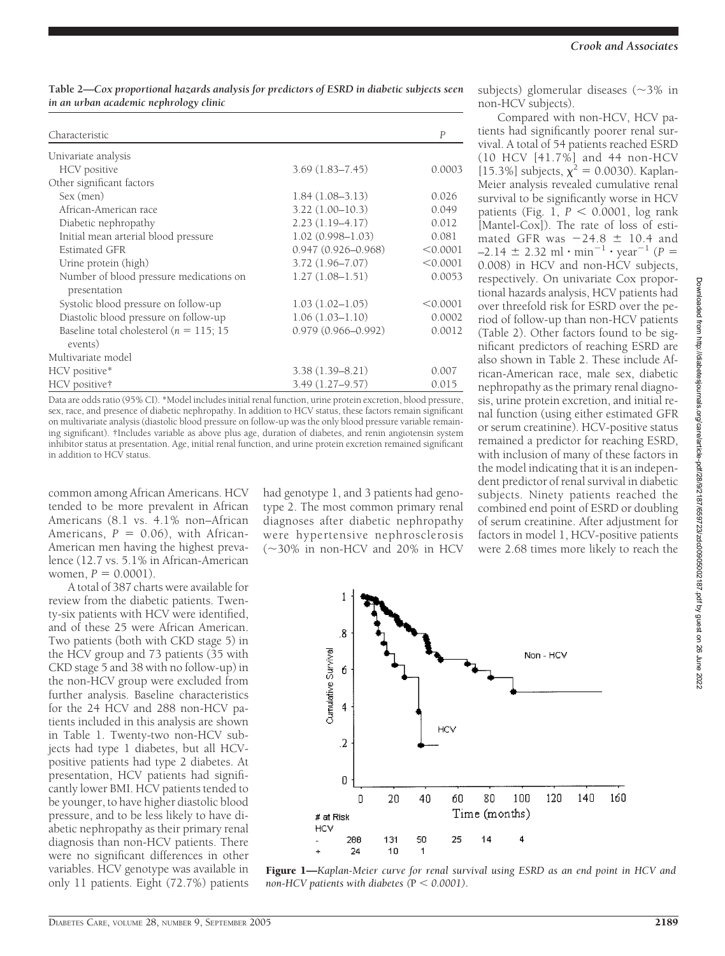| Table 2—Cox proportional hazards analysis for predictors of ESRD in diabetic subjects seen |  |
|--------------------------------------------------------------------------------------------|--|
| in an urban academic nephrology clinic                                                     |  |

| Characteristic                                          |                        | $\boldsymbol{P}$ |
|---------------------------------------------------------|------------------------|------------------|
| Univariate analysis                                     |                        |                  |
| <b>HCV</b> positive                                     | $3.69(1.83 - 7.45)$    | 0.0003           |
| Other significant factors                               |                        |                  |
| Sex (men)                                               | $1.84(1.08-3.13)$      | 0.026            |
| African-American race                                   | $3.22(1.00 - 10.3)$    | 0.049            |
| Diabetic nephropathy                                    | $2.23(1.19-4.17)$      | 0.012            |
| Initial mean arterial blood pressure                    | $1.02(0.998 - 1.03)$   | 0.081            |
| Estimated GFR                                           | $0.947(0.926 - 0.968)$ | < 0.0001         |
| Urine protein (high)                                    | $3.72(1.96 - 7.07)$    | < 0.0001         |
| Number of blood pressure medications on<br>presentation | $1.27(1.08-1.51)$      | 0.0053           |
| Systolic blood pressure on follow-up                    | $1.03(1.02 - 1.05)$    | < 0.0001         |
| Diastolic blood pressure on follow-up                   | $1.06(1.03 - 1.10)$    | 0.0002           |
| Baseline total cholesterol ( $n = 115$ ; 15<br>events)  | $0.979(0.966 - 0.992)$ | 0.0012           |
| Multivariate model                                      |                        |                  |
| HCV positive*                                           | $3.38(1.39 - 8.21)$    | 0.007            |
| HCV positive†                                           | $3.49(1.27 - 9.57)$    | 0.015            |

Data are odds ratio (95% CI). \*Model includes initial renal function, urine protein excretion, blood pressure, sex, race, and presence of diabetic nephropathy. In addition to HCV status, these factors remain significant on multivariate analysis (diastolic blood pressure on follow-up was the only blood pressure variable remaining significant). †Includes variable as above plus age, duration of diabetes, and renin angiotensin system inhibitor status at presentation. Age, initial renal function, and urine protein excretion remained significant in addition to HCV status.

common among African Americans. HCV tended to be more prevalent in African Americans (8.1 vs. 4.1% non–African Americans,  $P = 0.06$ ), with African-American men having the highest prevalence (12.7 vs. 5.1% in African-American women,  $P = 0.0001$ ).

A total of 387 charts were available for review from the diabetic patients. Twenty-six patients with HCV were identified, and of these 25 were African American. Two patients (both with CKD stage 5) in the HCV group and 73 patients (35 with CKD stage 5 and 38 with no follow-up) in the non-HCV group were excluded from further analysis. Baseline characteristics for the 24 HCV and 288 non-HCV patients included in this analysis are shown in Table 1. Twenty-two non-HCV subjects had type 1 diabetes, but all HCVpositive patients had type 2 diabetes. At presentation, HCV patients had significantly lower BMI. HCV patients tended to be younger, to have higher diastolic blood pressure, and to be less likely to have diabetic nephropathy as their primary renal diagnosis than non-HCV patients. There were no significant differences in other variables. HCV genotype was available in only 11 patients. Eight (72.7%) patients had genotype 1, and 3 patients had genotype 2. The most common primary renal diagnoses after diabetic nephropathy were hypertensive nephrosclerosis  $(\sim)30\%$  in non-HCV and 20% in HCV subjects) glomerular diseases  $(\sim 3\%$  in non-HCV subjects).

Compared with non-HCV, HCV patients had significantly poorer renal survival. A total of 54 patients reached ESRD (10 HCV [41.7%] and 44 non-HCV [15.3%] subjects,  $\chi^2$  = 0.0030). Kaplan-Meier analysis revealed cumulative renal survival to be significantly worse in HCV patients (Fig.  $1, P < 0.0001$ , log rank [Mantel-Cox]). The rate of loss of estimated GFR was  $-24.8 \pm 10.4$  and  $-2.14 \pm 2.32 \text{ ml} \cdot \text{min}^{-1} \cdot \text{year}^{-1} (P =$ 0.008) in HCV and non-HCV subjects, respectively. On univariate Cox proportional hazards analysis, HCV patients had over threefold risk for ESRD over the period of follow-up than non-HCV patients (Table 2). Other factors found to be significant predictors of reaching ESRD are also shown in Table 2. These include African-American race, male sex, diabetic nephropathy as the primary renal diagnosis, urine protein excretion, and initial renal function (using either estimated GFR or serum creatinine). HCV-positive status remained a predictor for reaching ESRD, with inclusion of many of these factors in the model indicating that it is an independent predictor of renal survival in diabetic subjects. Ninety patients reached the combined end point of ESRD or doubling of serum creatinine. After adjustment for factors in model 1, HCV-positive patients were 2.68 times more likely to reach the



Figure 1—*Kaplan-Meier curve for renal survival using ESRD as an end point in HCV and*  $non\text{-HCV patients with diabetes (P} < 0.0001).$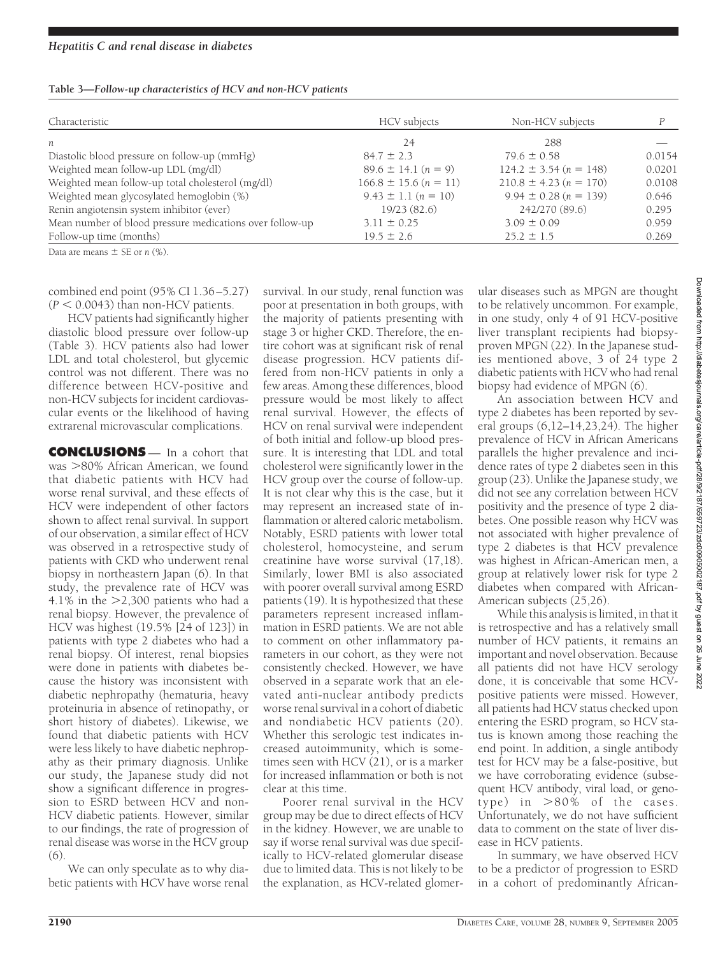| Table 3-Follow-up characteristics of HCV and non-HCV patients |  |  |
|---------------------------------------------------------------|--|--|
|                                                               |  |  |

| Characteristic                                           | HCV subjects              | Non-HCV subjects           |        |  |
|----------------------------------------------------------|---------------------------|----------------------------|--------|--|
| n                                                        | 24                        | 288                        |        |  |
| Diastolic blood pressure on follow-up (mmHg)             | $84.7 \pm 2.3$            | $79.6 \pm 0.58$            | 0.0154 |  |
| Weighted mean follow-up LDL (mg/dl)                      | $89.6 \pm 14.1 (n = 9)$   | $124.2 \pm 3.54 (n = 148)$ | 0.0201 |  |
| Weighted mean follow-up total cholesterol (mg/dl)        | $166.8 \pm 15.6 (n = 11)$ | $210.8 \pm 4.23 (n = 170)$ | 0.0108 |  |
| Weighted mean glycosylated hemoglobin (%)                | $9.43 \pm 1.1 (n = 10)$   | $9.94 \pm 0.28 (n = 139)$  | 0.646  |  |
| Renin angiotensin system inhibitor (ever)                | 19/23(82.6)               | 242/270 (89.6)             | 0.295  |  |
| Mean number of blood pressure medications over follow-up | $3.11 \pm 0.25$           | $3.09 \pm 0.09$            | 0.959  |  |
| Follow-up time (months)                                  | $19.5 \pm 2.6$            | $25.2 \pm 1.5$             | 0.269  |  |

Data are means  $\pm$  SE or *n* (%).

combined end point (95% CI 1.36–5.27)  $(P < 0.0043)$  than non-HCV patients.

HCV patients had significantly higher diastolic blood pressure over follow-up (Table 3). HCV patients also had lower LDL and total cholesterol, but glycemic control was not different. There was no difference between HCV-positive and non-HCV subjects for incident cardiovascular events or the likelihood of having extrarenal microvascular complications.

**CONCLUSIONS** — In a cohort that was 80% African American, we found that diabetic patients with HCV had worse renal survival, and these effects of HCV were independent of other factors shown to affect renal survival. In support of our observation, a similar effect of HCV was observed in a retrospective study of patients with CKD who underwent renal biopsy in northeastern Japan (6). In that study, the prevalence rate of HCV was 4.1% in the  $>$ 2,300 patients who had a renal biopsy. However, the prevalence of HCV was highest (19.5% [24 of 123]) in patients with type 2 diabetes who had a renal biopsy. Of interest, renal biopsies were done in patients with diabetes because the history was inconsistent with diabetic nephropathy (hematuria, heavy proteinuria in absence of retinopathy, or short history of diabetes). Likewise, we found that diabetic patients with HCV were less likely to have diabetic nephropathy as their primary diagnosis. Unlike our study, the Japanese study did not show a significant difference in progression to ESRD between HCV and non-HCV diabetic patients. However, similar to our findings, the rate of progression of renal disease was worse in the HCV group (6).

We can only speculate as to why diabetic patients with HCV have worse renal

survival. In our study, renal function was poor at presentation in both groups, with the majority of patients presenting with stage 3 or higher CKD. Therefore, the entire cohort was at significant risk of renal disease progression. HCV patients differed from non-HCV patients in only a few areas. Among these differences, blood pressure would be most likely to affect renal survival. However, the effects of HCV on renal survival were independent of both initial and follow-up blood pressure. It is interesting that LDL and total cholesterol were significantly lower in the HCV group over the course of follow-up. It is not clear why this is the case, but it may represent an increased state of inflammation or altered caloric metabolism. Notably, ESRD patients with lower total cholesterol, homocysteine, and serum creatinine have worse survival (17,18). Similarly, lower BMI is also associated with poorer overall survival among ESRD patients (19). It is hypothesized that these parameters represent increased inflammation in ESRD patients. We are not able to comment on other inflammatory parameters in our cohort, as they were not consistently checked. However, we have observed in a separate work that an elevated anti-nuclear antibody predicts worse renal survival in a cohort of diabetic and nondiabetic HCV patients (20). Whether this serologic test indicates increased autoimmunity, which is sometimes seen with HCV (21), or is a marker for increased inflammation or both is not clear at this time.

Poorer renal survival in the HCV group may be due to direct effects of HCV in the kidney. However, we are unable to say if worse renal survival was due specifically to HCV-related glomerular disease due to limited data. This is not likely to be the explanation, as HCV-related glomerular diseases such as MPGN are thought to be relatively uncommon. For example, in one study, only 4 of 91 HCV-positive liver transplant recipients had biopsyproven MPGN (22). In the Japanese studies mentioned above, 3 of 24 type 2 diabetic patients with HCV who had renal biopsy had evidence of MPGN (6).

An association between HCV and type 2 diabetes has been reported by several groups  $(6,12-14,23,24)$ . The higher prevalence of HCV in African Americans parallels the higher prevalence and incidence rates of type 2 diabetes seen in this group (23). Unlike the Japanese study, we did not see any correlation between HCV positivity and the presence of type 2 diabetes. One possible reason why HCV was not associated with higher prevalence of type 2 diabetes is that HCV prevalence was highest in African-American men, a group at relatively lower risk for type 2 diabetes when compared with African-American subjects (25,26).

While this analysis is limited, in that it is retrospective and has a relatively small number of HCV patients, it remains an important and novel observation. Because all patients did not have HCV serology done, it is conceivable that some HCVpositive patients were missed. However, all patients had HCV status checked upon entering the ESRD program, so HCV status is known among those reaching the end point. In addition, a single antibody test for HCV may be a false-positive, but we have corroborating evidence (subsequent HCV antibody, viral load, or genotype) in  $>80\%$  of the cases. Unfortunately, we do not have sufficient data to comment on the state of liver disease in HCV patients.

In summary, we have observed HCV to be a predictor of progression to ESRD in a cohort of predominantly African